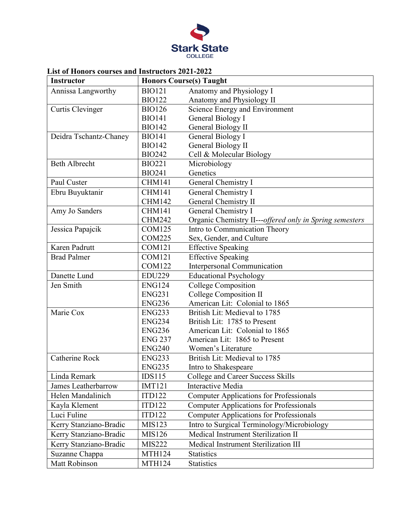

## **List of Honors courses and Instructors 2021-2022**

| <b>Instructor</b>       |                | <b>Honors Course(s) Taught</b>                          |
|-------------------------|----------------|---------------------------------------------------------|
| Annissa Langworthy      | <b>BIO121</b>  | Anatomy and Physiology I                                |
|                         | <b>BIO122</b>  | Anatomy and Physiology II                               |
| <b>Curtis Clevinger</b> | <b>BIO126</b>  | Science Energy and Environment                          |
|                         | <b>BIO141</b>  | General Biology I                                       |
|                         | <b>BIO142</b>  | General Biology II                                      |
| Deidra Tschantz-Chaney  | <b>BIO141</b>  | General Biology I                                       |
|                         | <b>BIO142</b>  | General Biology II                                      |
|                         | <b>BIO242</b>  | Cell & Molecular Biology                                |
| <b>Beth Albrecht</b>    | <b>BIO221</b>  | Microbiology                                            |
|                         | <b>BIO241</b>  | Genetics                                                |
| Paul Custer             | <b>CHM141</b>  | General Chemistry I                                     |
| Ebru Buyuktanir         | <b>CHM141</b>  | General Chemistry I                                     |
|                         | <b>CHM142</b>  | <b>General Chemistry II</b>                             |
| Amy Jo Sanders          | <b>CHM141</b>  | General Chemistry I                                     |
|                         | <b>CHM242</b>  | Organic Chemistry II---offered only in Spring semesters |
| Jessica Papajcik        | <b>COM125</b>  | Intro to Communication Theory                           |
|                         | <b>COM225</b>  | Sex, Gender, and Culture                                |
| Karen Padrutt           | <b>COM121</b>  | <b>Effective Speaking</b>                               |
| <b>Brad Palmer</b>      | <b>COM121</b>  | <b>Effective Speaking</b>                               |
|                         | <b>COM122</b>  | Interpersonal Communication                             |
| Danette Lund            | <b>EDU229</b>  | <b>Educational Psychology</b>                           |
| Jen Smith               | <b>ENG124</b>  | <b>College Composition</b>                              |
|                         | <b>ENG231</b>  | College Composition II                                  |
|                         | <b>ENG236</b>  | American Lit: Colonial to 1865                          |
| Marie Cox               | <b>ENG233</b>  | British Lit: Medieval to 1785                           |
|                         | <b>ENG234</b>  | British Lit: 1785 to Present                            |
|                         | <b>ENG236</b>  | American Lit: Colonial to 1865                          |
|                         | <b>ENG 237</b> | American Lit: 1865 to Present                           |
|                         | <b>ENG240</b>  | Women's Literature                                      |
| <b>Catherine Rock</b>   | <b>ENG233</b>  | British Lit: Medieval to 1785                           |
|                         | <b>ENG235</b>  | Intro to Shakespeare                                    |
| Linda Remark            | IDS115         | College and Career Success Skills                       |
| James Leatherbarrow     | <b>IMT121</b>  | <b>Interactive Media</b>                                |
| Helen Mandalinich       | <b>ITD122</b>  | <b>Computer Applications for Professionals</b>          |
| Kayla Klement           | <b>ITD122</b>  | <b>Computer Applications for Professionals</b>          |
| Luci Fuline             | <b>ITD122</b>  | <b>Computer Applications for Professionals</b>          |
| Kerry Stanziano-Bradic  | MIS123         | Intro to Surgical Terminology/Microbiology              |
| Kerry Stanziano-Bradic  | MIS126         | Medical Instrument Sterilization II                     |
| Kerry Stanziano-Bradic  | <b>MIS222</b>  | Medical Instrument Sterilization III                    |
| Suzanne Chappa          | <b>MTH124</b>  | <b>Statistics</b>                                       |
| <b>Matt Robinson</b>    | <b>MTH124</b>  | <b>Statistics</b>                                       |